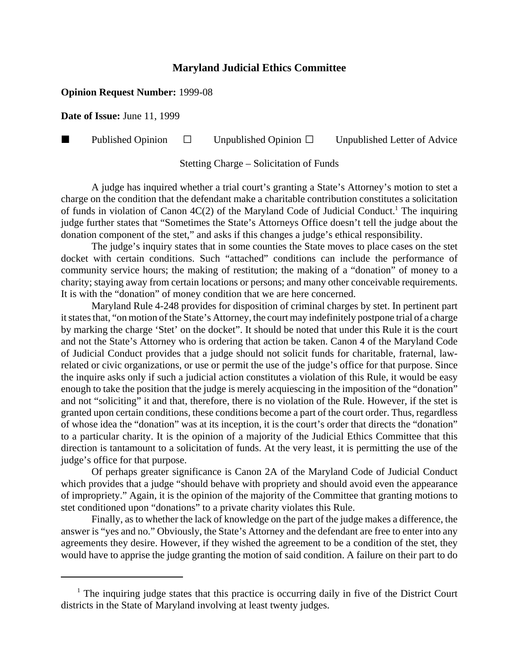## **Maryland Judicial Ethics Committee**

## **Opinion Request Number:** 1999-08

**Date of Issue:** June 11, 1999

**Published Opinion**  $\Box$  Unpublished Opinion  $\Box$  Unpublished Letter of Advice

Stetting Charge – Solicitation of Funds

A judge has inquired whether a trial court's granting a State's Attorney's motion to stet a charge on the condition that the defendant make a charitable contribution constitutes a solicitation of funds in violation of Canon  $4C(2)$  of the Maryland Code of Judicial Conduct.<sup>1</sup> The inquiring judge further states that "Sometimes the State's Attorneys Office doesn't tell the judge about the donation component of the stet," and asks if this changes a judge's ethical responsibility.

The judge's inquiry states that in some counties the State moves to place cases on the stet docket with certain conditions. Such "attached" conditions can include the performance of community service hours; the making of restitution; the making of a "donation" of money to a charity; staying away from certain locations or persons; and many other conceivable requirements. It is with the "donation" of money condition that we are here concerned.

Maryland Rule 4-248 provides for disposition of criminal charges by stet. In pertinent part it states that, "on motion of the State's Attorney, the court may indefinitely postpone trial of a charge by marking the charge 'Stet' on the docket". It should be noted that under this Rule it is the court and not the State's Attorney who is ordering that action be taken. Canon 4 of the Maryland Code of Judicial Conduct provides that a judge should not solicit funds for charitable, fraternal, lawrelated or civic organizations, or use or permit the use of the judge's office for that purpose. Since the inquire asks only if such a judicial action constitutes a violation of this Rule, it would be easy enough to take the position that the judge is merely acquiescing in the imposition of the "donation" and not "soliciting" it and that, therefore, there is no violation of the Rule. However, if the stet is granted upon certain conditions, these conditions become a part of the court order. Thus, regardless of whose idea the "donation" was at its inception, it is the court's order that directs the "donation" to a particular charity. It is the opinion of a majority of the Judicial Ethics Committee that this direction is tantamount to a solicitation of funds. At the very least, it is permitting the use of the judge's office for that purpose.

Of perhaps greater significance is Canon 2A of the Maryland Code of Judicial Conduct which provides that a judge "should behave with propriety and should avoid even the appearance of impropriety." Again, it is the opinion of the majority of the Committee that granting motions to stet conditioned upon "donations" to a private charity violates this Rule.

Finally, as to whether the lack of knowledge on the part of the judge makes a difference, the answer is "yes and no." Obviously, the State's Attorney and the defendant are free to enter into any agreements they desire. However, if they wished the agreement to be a condition of the stet, they would have to apprise the judge granting the motion of said condition. A failure on their part to do

<sup>&</sup>lt;sup>1</sup> The inquiring judge states that this practice is occurring daily in five of the District Court districts in the State of Maryland involving at least twenty judges.